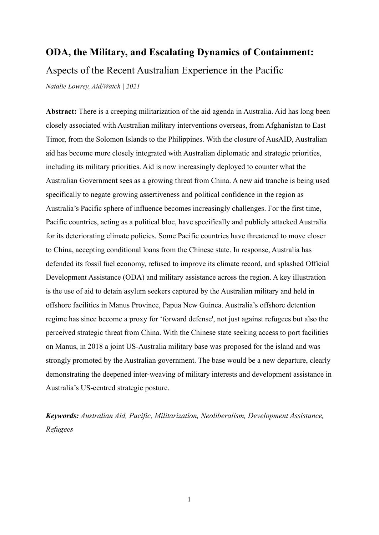# **ODA, the Military, and Escalating Dynamics of Containment:** Aspects of the Recent Australian Experience in the Pacific

*Natalie Lowrey, Aid/Watch | 2021*

**Abstract:** There is a creeping militarization of the aid agenda in Australia. Aid has long been closely associated with Australian military interventions overseas, from Afghanistan to East Timor, from the Solomon Islands to the Philippines. With the closure of AusAID, Australian aid has become more closely integrated with Australian diplomatic and strategic priorities, including its military priorities. Aid is now increasingly deployed to counter what the Australian Government sees as a growing threat from China. A new aid tranche is being used specifically to negate growing assertiveness and political confidence in the region as Australia's Pacific sphere of influence becomes increasingly challenges. For the first time, Pacific countries, acting as a political bloc, have specifically and publicly attacked Australia for its deteriorating climate policies. Some Pacific countries have threatened to move closer to China, accepting conditional loans from the Chinese state. In response, Australia has defended its fossil fuel economy, refused to improve its climate record, and splashed Official Development Assistance (ODA) and military assistance across the region. A key illustration is the use of aid to detain asylum seekers captured by the Australian military and held in offshore facilities in Manus Province, Papua New Guinea. Australia's offshore detention regime has since become a proxy for 'forward defense', not just against refugees but also the perceived strategic threat from China. With the Chinese state seeking access to port facilities on Manus, in 2018 a joint US-Australia military base was proposed for the island and was strongly promoted by the Australian government. The base would be a new departure, clearly demonstrating the deepened inter-weaving of military interests and development assistance in Australia's US-centred strategic posture.

*Keywords: Australian Aid, Pacific, Militarization, Neoliberalism, Development Assistance, Refugees*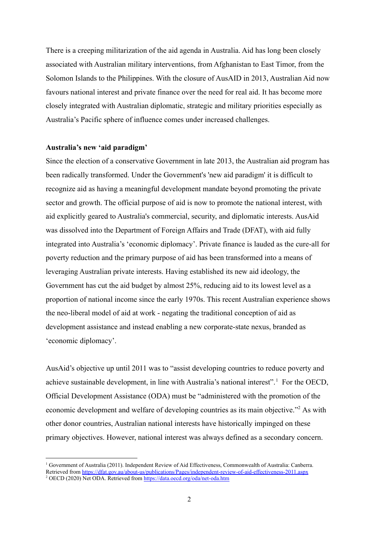There is a creeping militarization of the aid agenda in Australia. Aid has long been closely associated with Australian military interventions, from Afghanistan to East Timor, from the Solomon Islands to the Philippines. With the closure of AusAID in 2013, Australian Aid now favours national interest and private finance over the need for real aid. It has become more closely integrated with Australian diplomatic, strategic and military priorities especially as Australia's Pacific sphere of influence comes under increased challenges.

### **Australia's new 'aid paradigm'**

Since the election of a conservative Government in late 2013, the Australian aid program has been radically transformed. Under the Government's 'new aid paradigm' it is difficult to recognize aid as having a meaningful development mandate beyond promoting the private sector and growth. The official purpose of aid is now to promote the national interest, with aid explicitly geared to Australia's commercial, security, and diplomatic interests. AusAid was dissolved into the Department of Foreign Affairs and Trade (DFAT), with aid fully integrated into Australia's 'economic diplomacy'. Private finance is lauded as the cure-all for poverty reduction and the primary purpose of aid has been transformed into a means of leveraging Australian private interests. Having established its new aid ideology, the Government has cut the aid budget by almost 25%, reducing aid to its lowest level as a proportion of national income since the early 1970s. This recent Australian experience shows the neo-liberal model of aid at work - negating the traditional conception of aid as development assistance and instead enabling a new corporate-state nexus, branded as 'economic diplomacy'.

AusAid's objective up until 2011 was to "assist developing countries to reduce poverty and achieve sustainable development, in line with Australia's national interest".<sup>1</sup> For the OECD, Official Development Assistance (ODA) must be "administered with the promotion of the economic development and welfare of developing countries as its main objective."<sup>2</sup> As with other donor countries, Australian national interests have historically impinged on these primary objectives. However, national interest was always defined as a secondary concern.

<sup>&</sup>lt;sup>2</sup> OECD (2020) Net ODA. Retrieved from <https://data.oecd.org/oda/net-oda.htm> <sup>1</sup> Government of Australia (2011). Independent Review of Aid Effectiveness, Commonwealth of Australia: Canberra. Retrieved from <https://dfat.gov.au/about-us/publications/Pages/independent-review-of-aid-effectiveness-2011.aspx>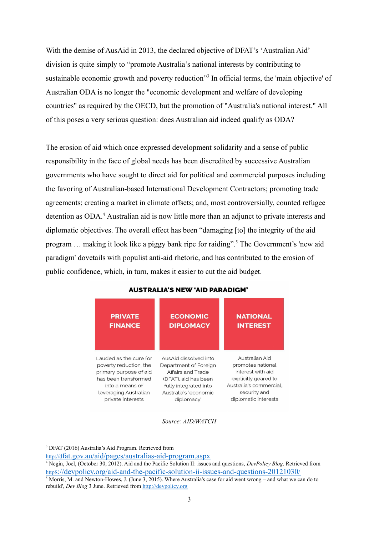With the demise of AusAid in 2013, the declared objective of DFAT's 'Australian Aid' division is quite simply to "promote Australia's national interests by contributing to sustainable economic growth and poverty reduction<sup>33</sup> In official terms, the 'main objective' of Australian ODA is no longer the "economic development and welfare of developing countries" as required by the OECD, but the promotion of "Australia's national interest." All of this poses a very serious question: does Australian aid indeed qualify as ODA?

The erosion of aid which once expressed development solidarity and a sense of public responsibility in the face of global needs has been discredited by successive Australian governments who have sought to direct aid for political and commercial purposes including the favoring of Australian-based International Development Contractors; promoting trade agreements; creating a market in climate offsets; and, most controversially, counted refugee detention as ODA.<sup>4</sup> Australian aid is now little more than an adjunct to private interests and diplomatic objectives. The overall effect has been "damaging [to] the integrity of the aid program ... making it look like a piggy bank ripe for raiding".<sup>5</sup> The Government's 'new aid paradigm' dovetails with populist anti-aid rhetoric, and has contributed to the erosion of public confidence, which, in turn, makes it easier to cut the aid budget.



**AUSTRALIA'S NEW 'AID PARADIGM'** 

*Source: AID/WATCH*

<sup>3</sup> DFAT (2016) Australia's Aid Program. Retrieved from

http://d[fat.gov.au/aid/pages/australias-aid-program.aspx](http://dfat.gov.au/aid/pages/australias-aid-program.aspx)

 $5$  Morris, M. and Newton-Howes, J. (June 3, 2015). Where Australia's case for aid went wrong – and what we can do to <sup>4</sup> Negin, Joel, (October 30, 2012). Aid and the Pacific Solution II: issues and questions, *DevPolicy Blog*. Retrieved from http[s://devpolicy.org/aid-and-the-pacific-solution-ii-issues-and-questions-20121030/](https://devpolicy.org/aid-and-the-pacific-solution-ii-issues-and-questions-20121030/)

rebuild', *Dev Blog* 3 June. Retrieved from <http://devpolicy.org>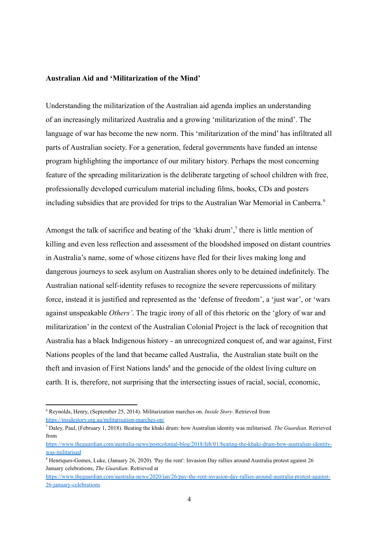# **Australian Aid and 'Militarization of the Mind'**

Understanding the militarization of the Australian aid agenda implies an understanding of an increasingly militarized Australia and a growing 'militarization of the mind'. The language of war has become the new norm. This 'militarization of the mind' has infiltrated all parts of Australian society. For a generation, federal governments have funded an intense program highlighting the importance of our military history. Perhaps the most concerning feature of the spreading militarization is the deliberate targeting of school children with free, professionally developed curriculum material including films, books, CDs and posters including subsidies that are provided for trips to the Australian War Memorial in Canberra. <sup>6</sup>

Amongst the talk of sacrifice and beating of the 'khaki drum', $<sup>7</sup>$  there is little mention of</sup> killing and even less reflection and assessment of the bloodshed imposed on distant countries in Australia's name, some of whose citizens have fled for their lives making long and dangerous journeys to seek asylum on Australian shores only to be detained indefinitely. The Australian national self-identity refuses to recognize the severe repercussions of military force, instead it is justified and represented as the 'defense of freedom', a 'just war', or 'wars against unspeakable *Others'*. The tragic irony of all of this rhetoric on the 'glory of war and militarization' in the context of the Australian Colonial Project is the lack of recognition that Australia has a black Indigenous history - an unrecognized conquest of, and war against, First Nations peoples of the land that became called Australia, the Australian state built on the theft and invasion of First Nations lands<sup>8</sup> and the genocide of the oldest living culture on earth. It is, therefore, not surprising that the intersecting issues of racial, social, economic,

<sup>6</sup> Reynolds, Henry, (September 25, 2014). Militarization marches on. *Inside Story*. Retrieved from <https://insidestory.org.au/militarisation-marches-on/>

<sup>7</sup> Daley, Paul, (February 1, 2018). Beating the khaki drum: how Australian identity was militarised. *The Guardian*. Retrieved from

[https://www.theguardian.com/australia-news/postcolonial-blog/2018/feb/01/beating-the-khaki-drum-how-australian-identity](https://www.theguardian.com/australia-news/postcolonial-blog/2018/feb/01/beating-the-khaki-drum-how-australian-identity-was-militarised)[was-militarised](https://www.theguardian.com/australia-news/postcolonial-blog/2018/feb/01/beating-the-khaki-drum-how-australian-identity-was-militarised)

<sup>8</sup> Henriques-Gomes, Luke, (January 26, 2020). 'Pay the rent': Invasion Day rallies around Australia protest against 26 January celebrations, *The Guardian*. Retrieved at

[https://www.theguardian.com/australia-news/2020/jan/26/pay-the-rent-invasion-day-rallies-around-australia-protest-against-](https://www.theguardian.com/australia-news/2020/jan/26/pay-the-rent-invasion-day-rallies-around-australia-protest-against-26-january-celebrations)[26-january-celebrations](https://www.theguardian.com/australia-news/2020/jan/26/pay-the-rent-invasion-day-rallies-around-australia-protest-against-26-january-celebrations)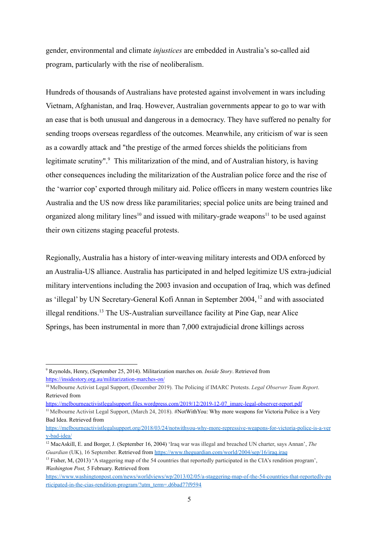gender, environmental and climate *injustices* are embedded in Australia's so-called aid program, particularly with the rise of neoliberalism.

Hundreds of thousands of Australians have protested against involvement in wars including Vietnam, Afghanistan, and Iraq. However, Australian governments appear to go to war with an ease that is both unusual and dangerous in a democracy. They have suffered no penalty for sending troops overseas regardless of the outcomes. Meanwhile, any criticism of war is seen as a cowardly attack and "the prestige of the armed forces shields the politicians from legitimate scrutiny". $\degree$  This militarization of the mind, and of Australian history, is having other consequences including the militarization of the Australian police force and the rise of the 'warrior cop' exported through military aid. Police officers in many western countries like Australia and the US now dress like paramilitaries; special police units are being trained and organized along military lines<sup>10</sup> and issued with military-grade weapons<sup>11</sup> to be used against their own citizens staging peaceful protests.

Regionally, Australia has a history of inter-weaving military interests and ODA enforced by an Australia-US alliance. Australia has participated in and helped legitimize US extra-judicial military interventions including the 2003 invasion and occupation of Iraq, which was defined as 'illegal' by UN Secretary-General Kofi Annan in September  $2004$ ,  $^{12}$  and with associated illegal renditions.<sup>13</sup> The US-Australian surveillance facility at Pine Gap, near Alice Springs, has been instrumental in more than 7,000 extrajudicial drone killings across

[https://melbourneactivistlegalsupport.files.wordpress.com/2019/12/2019-12-07\\_imarc-legal-observer-report.pdf](https://melbourneactivistlegalsupport.files.wordpress.com/2019/12/2019-12-07_imarc-legal-observer-report.pdf)

<sup>9</sup> Reynolds, Henry, (September 25, 2014). Militarization marches on. *Inside Story*. Retrieved from [https://insidestory.org.au/militarization-marches-on/](https://insidestory.org.au/militarisation-marches-on/)

<sup>10</sup> Melbourne Activist Legal Support, (December 2019). The Policing if IMARC Protests. *Legal Observer Team Report*. Retrieved from

<sup>&</sup>lt;sup>11</sup> Melbourne Activist Legal Support, (March 24, 2018). #NotWithYou: Why more weapons for Victoria Police is a Very Bad Idea. Retrieved from

[https://melbourneactivistlegalsupport.org/2018/03/24/notwithyou-why-more-repressive-weapons-for-victoria-police-is-a-ver](https://melbourneactivistlegalsupport.org/2018/03/24/notwithyou-why-more-repressive-weapons-for-victoria-police-is-a-very-bad-idea/) [y-bad-idea/](https://melbourneactivistlegalsupport.org/2018/03/24/notwithyou-why-more-repressive-weapons-for-victoria-police-is-a-very-bad-idea/)

<sup>12</sup> MacAskill, E. and Borger, J. (September 16, 2004) 'Iraq war was illegal and breached UN charter, says Annan', *The Guardian* (UK), 16 September. Retrieved from <https://www.theguardian.com/world/2004/sep/16/iraq.iraq>.

<sup>&</sup>lt;sup>13</sup> Fisher, M, (2013) 'A staggering map of the 54 countries that reportedly participated in the CIA's rendition program'. *Washington Post,* 5 February. Retrieved from

[https://www.washingtonpost.com/news/worldviews/wp/2013/02/05/a-staggering-map-of-the-54-countries-that-reportedly-pa](https://www.washingtonpost.com/news/worldviews/wp/2013/02/05/a-staggering-map-of-the-54-countries-that-reportedly-participated-in-the-cias-rendition-program/?utm_term=.d6bad77f9594) [rticipated-in-the-cias-rendition-program/?utm\\_term=.d6bad77f9594](https://www.washingtonpost.com/news/worldviews/wp/2013/02/05/a-staggering-map-of-the-54-countries-that-reportedly-participated-in-the-cias-rendition-program/?utm_term=.d6bad77f9594)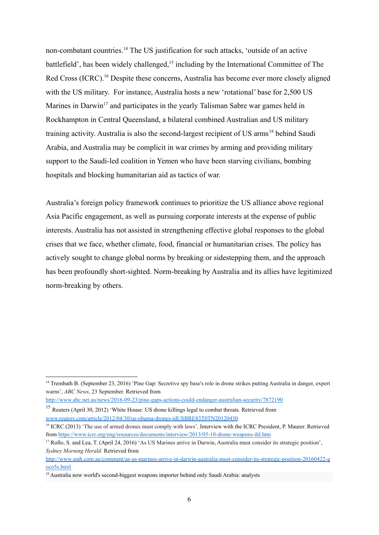non-combatant countries.<sup>14</sup> The US justification for such attacks, 'outside of an active battlefield', has been widely challenged,  $15$  including by the International Committee of The Red Cross (ICRC).<sup>16</sup> Despite these concerns, Australia has become ever more closely aligned with the US military. For instance, Australia hosts a new 'rotational' base for 2,500 US Marines in Darwin<sup>17</sup> and participates in the yearly Talisman Sabre war games held in Rockhampton in Central Queensland, a bilateral combined Australian and US military training activity. Australia is also the second-largest recipient of US  $\alpha$ <sub>18</sub><sup>18</sup> behind Saudi Arabia, and Australia may be complicit in war crimes by arming and providing military support to the Saudi-led coalition in Yemen who have been starving civilians, bombing hospitals and blocking humanitarian aid as tactics of war.

Australia's foreign policy framework continues to prioritize the US alliance above regional Asia Pacific engagement, as well as pursuing corporate interests at the expense of public interests. Australia has not assisted in strengthening effective global responses to the global crises that we face, whether climate, food, financial or humanitarian crises. The policy has actively sought to change global norms by breaking or sidestepping them, and the approach has been profoundly short-sighted. Norm-breaking by Australia and its allies have legitimized norm-breaking by others.

<sup>&</sup>lt;sup>14</sup> Trembath B. (September 23, 2016) 'Pine Gap: Secretive spy base's role in drone strikes putting Australia in danger, expert warns', *ABC News*, 23 September. Retrieved from

<http://www.abc.net.au/news/2016-09-23/pine-gaps-actions-could-endanger-australian-security/7872190>

<sup>&</sup>lt;sup>15</sup> Reuters (April 30, 2012) 'White House: US drone killings legal to combat threats. Retrieved from [www.reuters.com/article/2012/04/30/us-obama-drones-idUSBRE83T0TN20120430](http://www.reuters.com/article/2012/04/30/us-obama-drones-idUSBRE83T0TN20120430)

<sup>&</sup>lt;sup>16</sup> ICRC (2013) 'The use of armed drones must comply with laws', Interview with the ICRC President, P. Maurer. Retrieved from <https://www.icrc.org/eng/resources/documents/interview/2013/05-10-drone-weapons-ihl.htm>

<sup>&</sup>lt;sup>17</sup> Rollo, S. and Lea, T. (April 24, 2016) 'As US Marines arrive in Darwin, Australia must consider its strategic position'. *Sydney Morning Herald.* Retrieved from

[http://www.smh.com.au/comment/as-us-marines-arrive-in-darwin-australia-must-consider-its-strategic-position-20160422-g](http://www.smh.com.au/comment/as-us-marines-arrive-in-darwin-australia-must-consider-its-strategic-position-20160422-goco5s.html) [oco5s.html](http://www.smh.com.au/comment/as-us-marines-arrive-in-darwin-australia-must-consider-its-strategic-position-20160422-goco5s.html)

<sup>&</sup>lt;sup>18</sup> Australia now world's second-biggest weapons importer behind only Saudi Arabia: analysts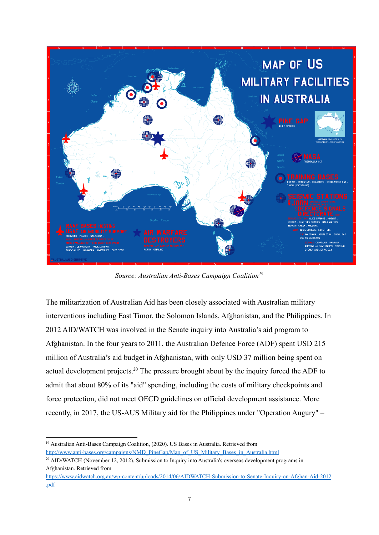

*Source: Australian Anti-Bases Campaign Coalition 19*

The militarization of Australian Aid has been closely associated with Australian military interventions including East Timor, the Solomon Islands, Afghanistan, and the Philippines. In 2012 AID/WATCH was involved in the [Senate inquiry](http://www.aph.gov.au/Parliamentary_Business/Committees/Senate_Committees?url=fadt_ctte/afghanistan/index.htm) into Australia's aid program to Afghanistan. In the four years to 2011, the Australian Defence Force (ADF) spent USD 215 million of Australia's aid budget in Afghanistan, with [only USD 37 million being spent on](http://www.theaustralian.com.au/national-affairs/military-spends-215m-to-give-37m-in-aid-to-afghanistan/story-fn59niix-1226017323760) [actual development projects.](http://www.theaustralian.com.au/national-affairs/military-spends-215m-to-give-37m-in-aid-to-afghanistan/story-fn59niix-1226017323760)<sup>20</sup> The pressure brought about by the inquiry forced the ADF to admit that about 80% of its "aid" spending, including the costs of military checkpoints and force protection, did not meet OECD guidelines on official development assistance. More recently, in 2017, the US-AUS Military aid for the Philippines under "Operation Augury" –

<sup>&</sup>lt;sup>19</sup> Australian Anti-Bases Campaign Coalition, (2020). US Bases in Australia. Retrieved from [http://www.anti-bases.org/campaigns/NMD\\_PineGap/Map\\_of\\_US\\_Military\\_Bases\\_in\\_Australia.html](http://www.anti-bases.org/campaigns/NMD_PineGap/Map_of_US_Military_Bases_in_Australia.html)

 $20$  AID/WATCH (November 12, 2012). Submission to Inquiry into Australia's overseas development programs in Afghanistan. Retrieved from

[https://www.aidwatch.org.au/wp-content/uploads/2014/06/AIDWATCH-Submission-to-Senate-Inquiry-on-Afghan-Aid-2012](https://www.aidwatch.org.au/wp-content/uploads/2014/06/AIDWATCH-Submission-to-Senate-Inquiry-on-Afghan-Aid-2012.pdf) [.pdf](https://www.aidwatch.org.au/wp-content/uploads/2014/06/AIDWATCH-Submission-to-Senate-Inquiry-on-Afghan-Aid-2012.pdf)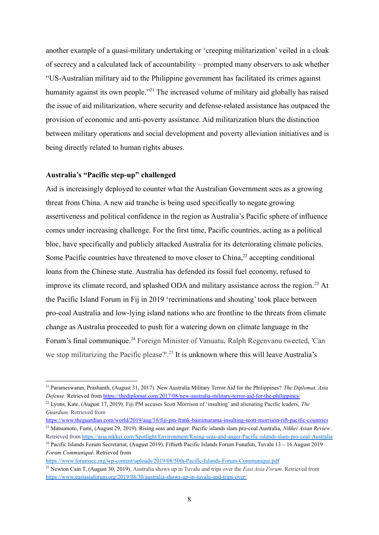another example of a quasi-military undertaking or 'creeping militarization' veiled in a cloak of secrecy and a calculated lack of accountability – prompted many observers to ask whether "US-Australian military aid to the Philippine government has facilitated its crimes against humanity against its own people."<sup> $21$ </sup> The increased volume of military aid globally has raised the issue of aid militarization, where security and defense-related assistance has outpaced the provision of economic and anti-poverty assistance. Aid militarization blurs the distinction between military operations and social development and poverty alleviation initiatives and is being directly related to human rights abuses.

## **Australia's "Pacific step-up" challenged**

Aid is increasingly deployed to counter what the Australian Government sees as a growing threat from China. A new aid tranche is being used specifically to negate growing assertiveness and political confidence in the region as Australia's Pacific sphere of influence comes under increasing challenge. For the first time, Pacific countries, acting as a political bloc, have specifically and publicly attacked Australia for its deteriorating climate policies. Some Pacific countries have threatened to move closer to China,  $2<sup>2</sup>$  accepting conditional loans from the Chinese state. Australia has defended its fossil fuel economy, refused to improve its climate record, and splashed ODA and military assistance across the region.<sup>23</sup> At the Pacific Island Forum in Fij in 2019 'recriminations and shouting' took place between pro-coal Australia and low-lying island nations who are frontline to the threats from climate change as Australia proceeded to push for a watering down on climate language in the Forum's final communique.<sup>24</sup> Foreign Minister of Vanuatu, Ralph Regenvanu tweeted, 'Can we stop militarizing the Pacific please?'.<sup>25</sup> It is unknown where this will leave Australia's

<sup>21</sup> Parameswaran, Prashanth, (August 31, 2017). New Australia Military Terror Aid for the Philippines? *The Diplomat, Asia Defense.* Retrieved from <https://thediplomat.com/2017/08/new-australia-military-terror-aid-for-the-philippines/>

<sup>22</sup> Lyons, Kate, (August 17, 2019). Fiji PM accuses Scott Morrison of 'insulting' and alienating Pacific leaders, *The Guardian.* Retrieved from

<sup>23</sup> Matsumoto, Fumi, (August 29, 2019). Rising seas and anger: Pacific islands slam pro-coal Australia, *Nikkei Asian Review*. <https://www.theguardian.com/world/2019/aug/16/fiji-pm-frank-bainimarama-insulting-scott-morrison-rift-pacific-countries>

<sup>&</sup>lt;sup>24</sup> Pacific Islands Forum Secretariat, (August 2019). Fiftieth Pacific Islands Forum Funafuti, Tuvalu 13 – 16 August 2019 Retrieved from <https://asia.nikkei.com/Spotlight/Environment/Rising-seas-and-anger-Pacific-islands-slam-pro-coal-Australia>

*Forum Communiqué*. Retrieved from

<https://www.forumsec.org/wp-content/uploads/2019/08/50th-Pacific-Islands-Forum-Communique.pdf>

<sup>25</sup> Newton Cain T, (August 30, 2019). Australia shows up in Tuvalu and trips over the *East Asia Forum.* Retrieved from <https://www.eastasiaforum.org/2019/08/30/australia-shows-up-in-tuvalu-and-trips-over/>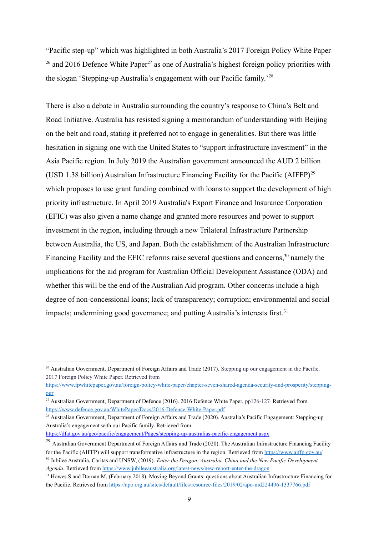"Pacific step-up" which was highlighted in both Australia's 2017 Foreign Policy White Paper <sup>26</sup> and 2016 Defence White Paper<sup>27</sup> as one of Australia's highest foreign policy priorities with the slogan 'Stepping-up Australia's engagement with our Pacific family.'<sup>28</sup>

There is also a debate in Australia surrounding the country's response to China's Belt and Road Initiative. Australia has resisted signing a memorandum of understanding with Beijing on the belt and road, stating it preferred not to engage in generalities. But there was little hesitation in signing one with the United States to "support infrastructure investment" in the Asia Pacific region. In July 2019 the Australian government announced the AUD 2 billion (USD 1.38 billion) Australian Infrastructure Financing Facility for the Pacific (AIFFP) <sup>29</sup> which proposes to use grant funding combined with loans to support the development of high priority infrastructure. In April 2019 Australia's Export Finance and Insurance Corporation (EFIC) was also given a name change and granted more resources and power to support investment in the region, including through a new Trilateral Infrastructure Partnership between Australia, the US, and Japan. Both the establishment of the Australian Infrastructure Financing Facility and the EFIC reforms raise several questions and concerns,  $30$  namely the implications for the aid program for Australian Official Development Assistance (ODA) and whether this will be the end of the Australian Aid program. Other concerns include a high degree of non-concessional loans; lack of transparency; corruption; environmental and social impacts; undermining good governance; and putting Australia's interests first.<sup>31</sup>

<sup>28</sup> Australian Government, Department of Foreign Affairs and Trade (2020). Australia's Pacific Engagement: Stepping-up Australia's engagement with our Pacific family. Retrieved from

<sup>&</sup>lt;sup>26</sup> Australian Government, Department of Foreign Affairs and Trade (2017). Stepping up our engagement in the Pacific, 2017 Foreign Policy White Paper. Retrieved from

[https://www.fpwhitepaper.gov.au/foreign-policy-white-paper/chapter-seven-shared-agenda-security-and-prosperity/stepping](https://www.fpwhitepaper.gov.au/foreign-policy-white-paper/chapter-seven-shared-agenda-security-and-prosperity/stepping-our)[our](https://www.fpwhitepaper.gov.au/foreign-policy-white-paper/chapter-seven-shared-agenda-security-and-prosperity/stepping-our)

<sup>&</sup>lt;sup>27</sup> Australian Government. Department of Defence (2016). 2016 Defence White Paper, pp126-127 Retrieved from <https://www.defence.gov.au/WhitePaper/Docs/2016-Defence-White-Paper.pdf>

<https://dfat.gov.au/geo/pacific/engagement/Pages/stepping-up-australias-pacific-engagement.aspx>

<sup>30</sup> Jubilee Australia, Caritas and UNSW, (2019). *Enter the Dragon: Australia, China and the New Pacific Development Agenda*. Retrieved from <https://www.jubileeaustralia.org/latest-news/new-report-enter-the-dragon> <sup>29</sup> Australian Government Department of Foreign Affairs and Trade (2020). The Australian Infrastructure Financing Facility for the Pacific (AIFFP) will support transformative infrastructure in the region. Retrieved from <https://www.aiffp.gov.au/>

<sup>&</sup>lt;sup>31</sup> Howes S and Dornan M, (February 2018). Moving Beyond Grants: questions about Australian Infrastructure Financing for the Pacific. Retrieved from <https://apo.org.au/sites/default/files/resource-files/2019/02/apo-nid224496-1337766.pdf>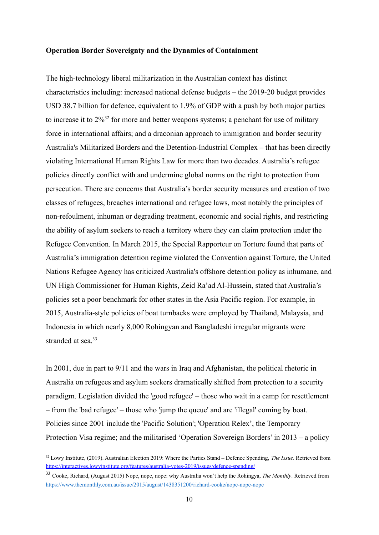#### **Operation Border Sovereignty and the Dynamics of Containment**

The high-technology liberal militarization in the Australian context has distinct characteristics including: increased national defense budgets – the 2019-20 budget provides USD 38.7 billion for defence, equivalent to 1.9% of GDP with a push by both major parties to increase it to  $2\%^{32}$  for more and better weapons systems; a penchant for use of military force in international affairs; and a draconian approach to immigration and border security Australia's Militarized Borders and the Detention-Industrial Complex – that has been directly violating International Human Rights Law for more than two decades. Australia's refugee policies directly conflict with and undermine global norms on the right to protection from persecution. There are concerns that Australia's border security measures and creation of two classes of refugees, breaches international and refugee laws, most notably the principles of non-refoulment, inhuman or degrading treatment, economic and social rights, and restricting the ability of asylum seekers to reach a territory where they can claim protection under the Refugee Convention. In March 2015, the Special Rapporteur on Torture found that parts of Australia's immigration detention regime violated the Convention against Torture, the United Nations Refugee Agency has criticized Australia's offshore detention policy as inhumane, and UN High Commissioner for Human Rights, Zeid Ra'ad Al-Hussein, stated that Australia's policies set a poor benchmark for other states in the Asia Pacific region. For example, in 2015, Australia-style policies of boat turnbacks were employed by Thailand, Malaysia, and Indonesia in which nearly 8,000 Rohingyan and Bangladeshi irregular migrants were stranded at sea $^{33}$ 

In 2001, due in part to 9/11 and the wars in Iraq and Afghanistan, the political rhetoric in Australia on refugees and asylum seekers dramatically shifted from protection to a security paradigm. Legislation divided the 'good refugee' – those who wait in a camp for resettlement – from the 'bad refugee' – those who 'jump the queue' and are 'illegal' coming by boat. Policies since 2001 include the 'Pacific Solution'; 'Operation Relex', the Temporary Protection Visa regime; and the militarised 'Operation Sovereign Borders' in 2013 – a policy

<sup>32</sup> Lowy Institute, (2019). Australian Election 2019: Where the Parties Stand – Defence Spending, *The Issue.* Retrieved from <https://interactives.lowyinstitute.org/features/australia-votes-2019/issues/defence-spending/>

<sup>33</sup> Cooke, Richard, (August 2015) Nope, nope, nope: why Australia won't help the Rohingya, *The Monthly*. Retrieved from <https://www.themonthly.com.au/issue/2015/august/1438351200/richard-cooke/nope-nope-nope>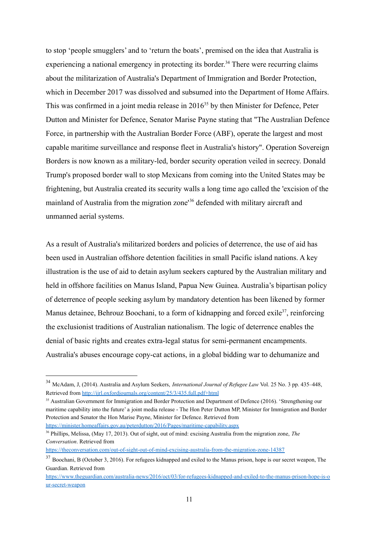to stop 'people smugglers' and to 'return the boats', premised on the idea that Australia is experiencing a national emergency in protecting its border.<sup>34</sup> There were recurring claims about the militarization of Australia's Department of Immigration and Border Protection, which in December 2017 was dissolved and subsumed into the Department of Home Affairs. This was confirmed in a joint media release in  $2016<sup>35</sup>$  by then Minister for Defence, Peter Dutton and Minister for Defence, Senator Marise Payne stating that "The Australian Defence Force, in partnership with the Australian Border Force (ABF), operate the largest and most capable maritime surveillance and response fleet in Australia's history". Operation Sovereign Borders is now known as a military-led, border security operation veiled in secrecy. Donald Trump's proposed border wall to stop Mexicans from coming into the United States may be frightening, but Australia created its security walls a long time ago called the 'excision of the mainland of Australia from the migration zone<sup>36</sup> defended with military aircraft and unmanned aerial systems.

As a result of Australia's militarized borders and policies of deterrence, the use of aid has been used in Australian offshore detention facilities in small Pacific island nations. A key illustration is the use of aid to detain asylum seekers captured by the Australian military and held in offshore facilities on Manus Island, Papua New Guinea. Australia's bipartisan policy of deterrence of people seeking asylum by mandatory detention has been likened by former Manus detainee, Behrouz Boochani, to a form of kidnapping and forced exile  $37$ , reinforcing the exclusionist traditions of Australian nationalism. The logic of deterrence enables the denial of basic rights and creates extra-legal status for semi-permanent encampments. Australia's abuses encourage copy-cat actions, in a global bidding war to dehumanize and

<sup>36</sup> Phillips, Melissa, (May 17, 2013). Out of sight, out of mind: excising Australia from the migration zone, *The Conversation*. Retrieved from

<https://theconversation.com/out-of-sight-out-of-mind-excising-australia-from-the-migration-zone-14387>

<sup>34</sup> McAdam, J, (2014). Australia and Asylum Seekers, *International Journal of Refugee Law* Vol. 25 No. 3 pp. 435–448, Retrieved from <http://ijrl.oxfordjournals.org/content/25/3/435.full.pdf+html>

<sup>&</sup>lt;sup>35</sup> Australian Government for Immigration and Border Protection and Department of Defence (2016). 'Strengthening our maritime capability into the future' a joint media release - The Hon Peter Dutton MP, Minister for Immigration and Border Protection and Senator the Hon Marise Payne, Minister for Defence. Retrieved from <https://minister.homeaffairs.gov.au/peterdutton/2016/Pages/maritime-capability.aspx>

<sup>&</sup>lt;sup>37</sup> Boochani, B (October 3, 2016). For refugees kidnapped and exiled to the Manus prison, hope is our secret weapon, The Guardian. Retrieved from

[https://www.theguardian.com/australia-news/2016/oct/03/for-refugees-kidnapped-and-exiled-to-the-manus-prison-hope-is-o](https://www.theguardian.com/australia-news/2016/oct/03/for-refugees-kidnapped-and-exiled-to-the-manus-prison-hope-is-our-secret-weapon) [ur-secret-weapon](https://www.theguardian.com/australia-news/2016/oct/03/for-refugees-kidnapped-and-exiled-to-the-manus-prison-hope-is-our-secret-weapon)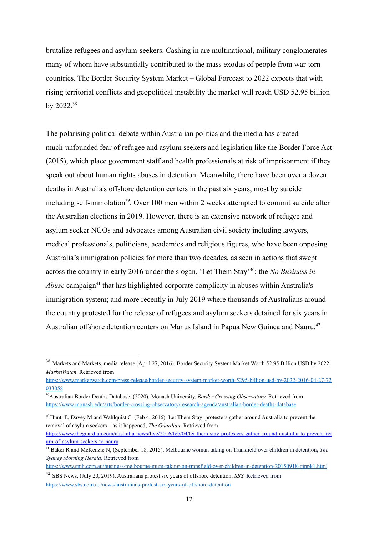brutalize refugees and asylum-seekers. Cashing in are multinational, military conglomerates many of whom have substantially contributed to the mass exodus of people from war-torn countries. The Border Security System Market – Global Forecast to 2022 expects that with rising territorial conflicts and geopolitical instability the market will reach USD 52.95 billion by 2022.<sup>38</sup>

The polarising political debate within Australian politics and the media has created much-unfounded fear of refugee and asylum seekers and legislation like the Border Force Act (2015), which place government staff and health professionals at risk of imprisonment if they speak out about human rights abuses in detention. Meanwhile, there have been over a dozen deaths in Australia's offshore detention centers in the past six years, most by suicide including self-immolation<sup>39</sup>. Over 100 men within 2 weeks attempted to commit suicide after the Australian elections in 2019. However, there is an extensive network of refugee and asylum seeker NGOs and advocates among Australian civil society including lawyers, medical professionals, politicians, academics and religious figures, who have been opposing Australia's immigration policies for more than two decades, as seen in actions that swept across the country in early 2016 under the slogan, 'Let Them Stay'<sup>40</sup>; the *No Business in Abuse* campaign<sup>41</sup> that has highlighted corporate complicity in abuses within Australia's immigration system; and more recently in July 2019 where thousands of Australians around the country protested for the release of refugees and asylum seekers detained for six years in Australian offshore detention centers on Manus Island in Papua New Guinea and Nauru.<sup>42</sup>

<sup>38</sup> Markets and Markets, media release (April 27, 2016). Border Security System Market Worth 52.95 Billion USD by 2022, *MarketWatch*. Retrieved from

[https://www.marketwatch.com/press-release/border-security-system-market-worth-5295-billion-usd-by-2022-2016-04-27-72](https://www.marketwatch.com/press-release/border-security-system-market-worth-5295-billion-usd-by-2022-2016-04-27-72033058) [033058](https://www.marketwatch.com/press-release/border-security-system-market-worth-5295-billion-usd-by-2022-2016-04-27-72033058)

<sup>39</sup>Australian Border Deaths Database, (2020). Monash University, *Border Crossing Observatory*. Retrieved from <https://www.monash.edu/arts/border-crossing-observatory/research-agenda/australian-border-deaths-database>

<sup>40</sup> Hunt, E, Davey M and Wahlquist C. (Feb 4, 2016). Let Them Stay: protesters gather around Australia to prevent the removal of asylum seekers – as it happened, *The Guardian*. Retrieved from

[https://www.theguardian.com/australia-news/live/2016/feb/04/let-them-stay-protesters-gather-around-australia-to-prevent-ret](https://www.theguardian.com/australia-news/live/2016/feb/04/let-them-stay-protesters-gather-around-australia-to-prevent-return-of-asylum-seekers-to-nauru) [urn-of-asylum-seekers-to-nauru](https://www.theguardian.com/australia-news/live/2016/feb/04/let-them-stay-protesters-gather-around-australia-to-prevent-return-of-asylum-seekers-to-nauru)

<sup>41</sup> Baker R and McKenzie N, (September 18, 2015). Melbourne woman taking on Transfield over children in detention**,** *The Sydney Morning Herald*. Retrieved from

<https://www.smh.com.au/business/melbourne-mum-taking-on-transfield-over-children-in-detention-20150918-gjppk1.html>

<sup>42</sup> SBS News, (July 20, 2019). Australians protest six years of offshore detention, *SBS.* Retrieved from <https://www.sbs.com.au/news/australians-protest-six-years-of-offshore-detention>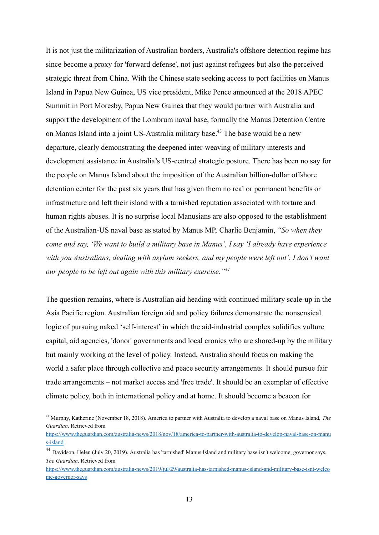It is not just the militarization of Australian borders, Australia's offshore detention regime has since become a proxy for 'forward defense', not just against refugees but also the perceived strategic threat from China. With the Chinese state seeking access to port facilities on Manus Island in Papua New Guinea, US vice president, Mike Pence announced at the 2018 APEC Summit in Port Moresby, Papua New Guinea that they would partner with Australia and support the development of the Lombrum naval base, formally the Manus Detention Centre on [Manus Island](https://www.theguardian.com/australia-news/manus-island) into a joint US-Australia military base.<sup>43</sup> The base would be a new departure, clearly demonstrating the deepened inter-weaving of military interests and development assistance in Australia's US-centred strategic posture. There has been no say for the people on Manus Island about the imposition of the Australian billion-dollar offshore detention center for the past six years that has given them no real or permanent benefits or infrastructure and left their island with a tarnished reputation associated with torture and human rights abuses. It is no surprise local Manusians are also opposed to the establishment of the Australian-US naval base as stated by Manus MP, Charlie Benjamin, *"So when they come and say, 'We want to build a military base in Manus', I say 'I already have experience with you Australians, dealing with asylum seekers, and my people were left out'. I don't want our people to be left out again with this military exercise."<sup>44</sup>*

The question remains, where is Australian aid heading with continued military scale-up in the Asia Pacific region. Australian foreign aid and policy failures demonstrate the nonsensical logic of pursuing naked 'self-interest' in which the aid-industrial complex solidifies vulture capital, aid agencies, 'donor' governments and local cronies who are shored-up by the military but mainly working at the level of policy. Instead, Australia should focus on making the world a safer place through collective and peace security arrangements. It should pursue fair trade arrangements – not market access and 'free trade'. It should be an exemplar of effective climate policy, both in international policy and at home. It should become a beacon for

<sup>43</sup> Murphy, Katherine (November 18, 2018). America to partner with Australia to develop a naval base on Manus Island, *The Guardian*. Retrieved from

[https://www.theguardian.com/australia-news/2018/nov/18/america-to-partner-with-australia-to-develop-naval-base-on-manu](https://www.theguardian.com/australia-news/2018/nov/18/america-to-partner-with-australia-to-develop-naval-base-on-manus-island) [s-island](https://www.theguardian.com/australia-news/2018/nov/18/america-to-partner-with-australia-to-develop-naval-base-on-manus-island)

<sup>44</sup> Davidson, Helen (July 20, 2019). Australia has 'tarnished' Manus Island and military base isn't welcome, governor says, *The Guardian*. Retrieved from

[https://www.theguardian.com/australia-news/2019/jul/29/australia-has-tarnished-manus-island-and-military-base-isnt-welco](https://www.theguardian.com/australia-news/2019/jul/29/australia-has-tarnished-manus-island-and-military-base-isnt-welcome-governor-says) [me-governor-says](https://www.theguardian.com/australia-news/2019/jul/29/australia-has-tarnished-manus-island-and-military-base-isnt-welcome-governor-says)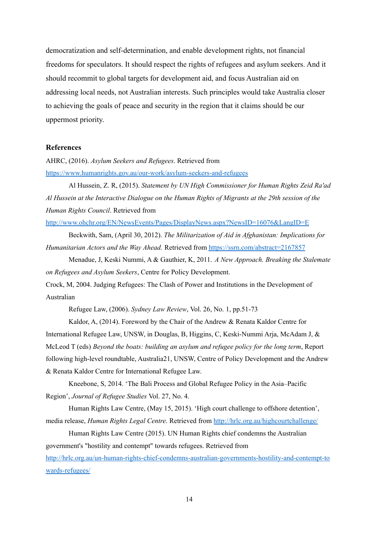democratization and self-determination, and enable development rights, not financial freedoms for speculators. It should respect the rights of refugees and asylum seekers. And it should recommit to global targets for development aid, and focus Australian aid on addressing local needs, not Australian interests. Such principles would take Australia closer to achieving the goals of peace and security in the region that it claims should be our uppermost priority.

# **References**

AHRC, (2016). *Asylum Seekers and Refugees*. Retrieved from <https://www.humanrights.gov.au/our-work/asylum-seekers-and-refugees>

Al Hussein, Z. R, (2015). *Statement by UN High Commissioner for Human Rights Zeid Ra'ad Al Hussein at the Interactive Dialogue on the Human Rights of Migrants at the 29th session of the Human Rights Council*. Retrieved from

<http://www.ohchr.org/EN/NewsEvents/Pages/DisplayNews.aspx?NewsID=16076&LangID=E>

Beckwith, Sam, (April 30, 2012). *The Militarization of Aid in Afghanistan: Implications for Humanitarian Actors and the Way Ahead.* Retrieved from <https://ssrn.com/abstract=2167857>

Menadue, J, Keski Nummi, A & Gauthier, K, 2011. *A New Approach. Breaking the Stalemate on Refugees and Asylum Seekers*, Centre for Policy Development.

Crock, M, 2004. Judging Refugees: The Clash of Power and Institutions in the Development of Australian

Refugee Law, (2006). *Sydney Law Review*, Vol. 26, No. 1, pp.51-73

Kaldor, A, (2014). Foreword by the Chair of the Andrew & Renata Kaldor Centre for International Refugee Law, UNSW, in Douglas, B, Higgins, C, Keski-Nummi Arja, McAdam J, & McLeod T (eds) *Beyond the boats: building an asylum and refugee policy for the long term*, Report following high-level roundtable, Australia21, UNSW, Centre of Policy Development and the Andrew & Renata Kaldor Centre for International Refugee Law.

Kneebone, S, 2014. 'The Bali Process and Global Refugee Policy in the Asia–Pacific Region', *Journal of Refugee Studies* Vol. 27, No. 4.

Human Rights Law Centre, (May 15, 2015). 'High court challenge to offshore detention', media release, *Human Rights Legal Centre*. Retrieved from <http://hrlc.org.au/highcourtchallenge/>

Human Rights Law Centre (2015). UN Human Rights chief condemns the Australian government's "hostility and contempt" towards refugees. Retrieved from [http://hrlc.org.au/un-human-rights-chief-condemns-australian-governments-hostility-and-contempt-to](http://hrlc.org.au/un-human-rights-chief-condemns-australian-governments-hostility-and-contempt-towards-refugees/) [wards-refugees/](http://hrlc.org.au/un-human-rights-chief-condemns-australian-governments-hostility-and-contempt-towards-refugees/)